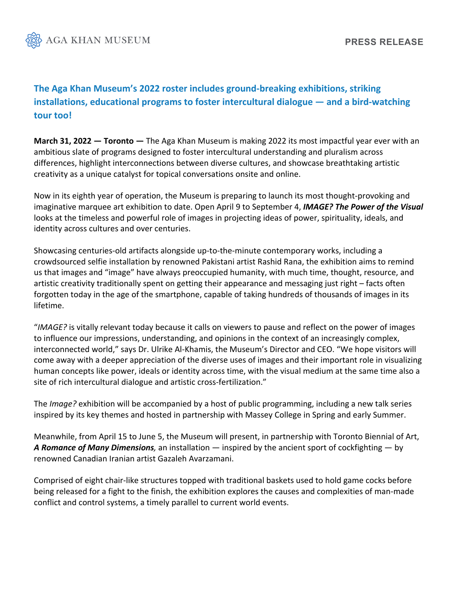

## **The Aga Khan Museum's 2022 roster includes ground-breaking exhibitions, striking installations, educational programs to foster intercultural dialogue — and a bird-watching tour too!**

**March 31, 2022 — Toronto —** The Aga Khan Museum is making 2022 its most impactful year ever with an ambitious slate of programs designed to foster intercultural understanding and pluralism across differences, highlight interconnections between diverse cultures, and showcase breathtaking artistic creativity as a unique catalyst for topical conversations onsite and online.

Now in its eighth year of operation, the Museum is preparing to launch its most thought-provoking and imaginative marquee art exhibition to date. Open April 9 to September 4, *IMAGE? The Power of the Visual* looks at the timeless and powerful role of images in projecting ideas of power, spirituality, ideals, and identity across cultures and over centuries.

Showcasing centuries-old artifacts alongside up-to-the-minute contemporary works, including a crowdsourced selfie installation by renowned Pakistani artist Rashid Rana, the exhibition aims to remind us that images and "image" have always preoccupied humanity, with much time, thought, resource, and artistic creativity traditionally spent on getting their appearance and messaging just right – facts often forgotten today in the age of the smartphone, capable of taking hundreds of thousands of images in its lifetime.

"*IMAGE?* is vitally relevant today because it calls on viewers to pause and reflect on the power of images to influence our impressions, understanding, and opinions in the context of an increasingly complex, interconnected world," says Dr. Ulrike Al-Khamis, the Museum's Director and CEO. "We hope visitors will come away with a deeper appreciation of the diverse uses of images and their important role in visualizing human concepts like power, ideals or identity across time, with the visual medium at the same time also a site of rich intercultural dialogue and artistic cross-fertilization."

The *Image?* exhibition will be accompanied by a host of public programming, including a new talk series inspired by its key themes and hosted in partnership with Massey College in Spring and early Summer.

Meanwhile, from April 15 to June 5, the Museum will present, in partnership with Toronto Biennial of Art, *A Romance of Many Dimensions,* an installation — inspired by the ancient sport of cockfighting — by renowned Canadian Iranian artist Gazaleh Avarzamani.

Comprised of eight chair-like structures topped with traditional baskets used to hold game cocks before being released for a fight to the finish, the exhibition explores the causes and complexities of man-made conflict and control systems, a timely parallel to current world events.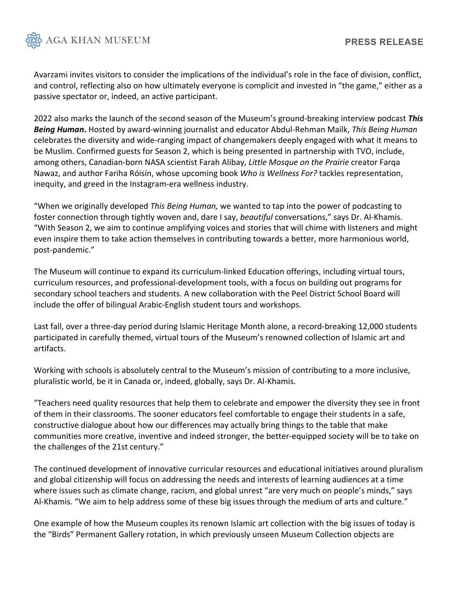

Avarzami invites visitors to consider the implications of the individual's role in the face of division, conflict, and control, reflecting also on how ultimately everyone is complicit and invested in "the game," either as a passive spectator or, indeed, an active participant.

2022 also marks the launch of the second season of the Museum's ground-breaking interview podcast *This Being Human***.** Hosted by award-winning journalist and educator Abdul-Rehman Mailk, *This Being Human*  celebrates the diversity and wide-ranging impact of changemakers deeply engaged with what it means to be Muslim. Confirmed guests for Season 2, which is being presented in partnership with TVO, include, among others, Canadian-born NASA scientist Farah Alibay, *Little Mosque on the Prairie* creator Farqa Nawaz, and author Fariha Róisín, whose upcoming book *Who is Wellness For?* tackles representation, inequity, and greed in the Instagram-era wellness industry.

"When we originally developed *This Being Human,* we wanted to tap into the power of podcasting to foster connection through tightly woven and, dare I say, *beautiful* conversations," says Dr. Al-Khamis. "With Season 2, we aim to continue amplifying voices and stories that will chime with listeners and might even inspire them to take action themselves in contributing towards a better, more harmonious world, post-pandemic."

The Museum will continue to expand its curriculum-linked Education offerings, including virtual tours, curriculum resources, and professional-development tools, with a focus on building out programs for secondary school teachers and students. A new collaboration with the Peel District School Board will include the offer of bilingual Arabic-English student tours and workshops.

Last fall, over a three-day period during Islamic Heritage Month alone, a record-breaking 12,000 students participated in carefully themed, virtual tours of the Museum's renowned collection of Islamic art and artifacts.

Working with schools is absolutely central to the Museum's mission of contributing to a more inclusive, pluralistic world, be it in Canada or, indeed, globally, says Dr. Al-Khamis.

"Teachers need quality resources that help them to celebrate and empower the diversity they see in front of them in their classrooms. The sooner educators feel comfortable to engage their students in a safe, constructive dialogue about how our differences may actually bring things to the table that make communities more creative, inventive and indeed stronger, the better-equipped society will be to take on the challenges of the 21st century."

The continued development of innovative curricular resources and educational initiatives around pluralism and global citizenship will focus on addressing the needs and interests of learning audiences at a time where issues such as climate change, racism, and global unrest "are very much on people's minds," says Al-Khamis. "We aim to help address some of these big issues through the medium of arts and culture."

One example of how the Museum couples its renown Islamic art collection with the big issues of today is the "Birds" Permanent Gallery rotation, in which previously unseen Museum Collection objects are